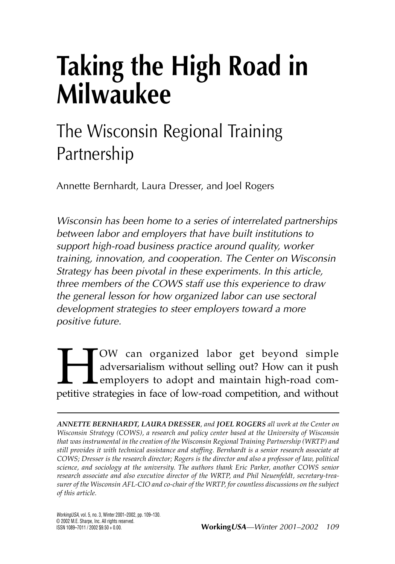# **Taking the High Road in Milwaukee**

# The Wisconsin Regional Training Partnership

Annette Bernhardt, Laura Dresser, and Joel Rogers

Wisconsin has been home to a series of interrelated partnerships between labor and employers that have built institutions to support high-road business practice around quality, worker training, innovation, and cooperation. The Center on Wisconsin Strategy has been pivotal in these experiments. In this article, three members of the COWS staff use this experience to draw the general lesson for how organized labor can use sectoral development strategies to steer employers toward a more positive future.

TOW can organized labor get beyond simple adversarialism without selling out? How can it push employers to adopt and maintain high-road competitive strategies in face of low-road competition, and without adversarialism without selling out? How can it push employers to adopt and maintain high-road competitive strategies in face of low-road competition, and without

*ANNETTE BERNHARDT, LAURA DRESSER, and JOEL ROGERS all work at the Center on Wisconsin Strategy (COWS), a research and policy center based at the University of Wisconsin that was instrumental in the creation of the Wisconsin Regional Training Partnership (WRTP) and still provides it with technical assistance and staffing. Bernhardt is a senior research associate at COWS; Dresser is the research director; Rogers is the director and also a professor of law, political science, and sociology at the university. The authors thank Eric Parker, another COWS senior research associate and also executive director of the WRTP, and Phil Neuenfeldt, secretary-treasurer of the Wisconsin AFL-CIO and co-chair of the WRTP, for countless discussions on the subject of this article.*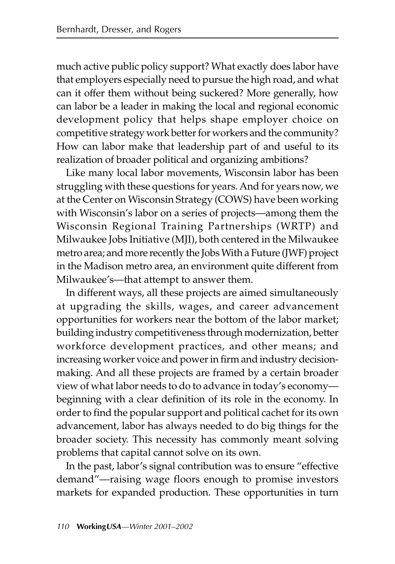much active public policy support? What exactly does labor have that employers especially need to pursue the high road, and what can it offer them without being suckered? More generally, how can labor be a leader in making the local and regional economic development policy that helps shape employer choice on competitive strategy work better for workers and the community? How can labor make that leadership part of and useful to its realization of broader political and organizing ambitions?

Like many local labor movements, Wisconsin labor has been struggling with these questions for years. And for years now, we at the Center on Wisconsin Strategy (COWS) have been working with Wisconsin's labor on a series of projects—among them the Wisconsin Regional Training Partnerships (WRTP) and Milwaukee Jobs Initiative (MJI), both centered in the Milwaukee metro area; and more recently the Jobs With a Future (JWF) project in the Madison metro area, an environment quite different from Milwaukee's—that attempt to answer them.

In different ways, all these projects are aimed simultaneously at upgrading the skills, wages, and career advancement opportunities for workers near the bottom of the labor market; building industry competitiveness through modernization, better workforce development practices, and other means; and increasing worker voice and power in firm and industry decisionmaking. And all these projects are framed by a certain broader view of what labor needs to do to advance in today's economy beginning with a clear definition of its role in the economy. In order to find the popular support and political cachet for its own advancement, labor has always needed to do big things for the broader society. This necessity has commonly meant solving problems that capital cannot solve on its own.

In the past, labor's signal contribution was to ensure "effective demand"—raising wage floors enough to promise investors markets for expanded production. These opportunities in turn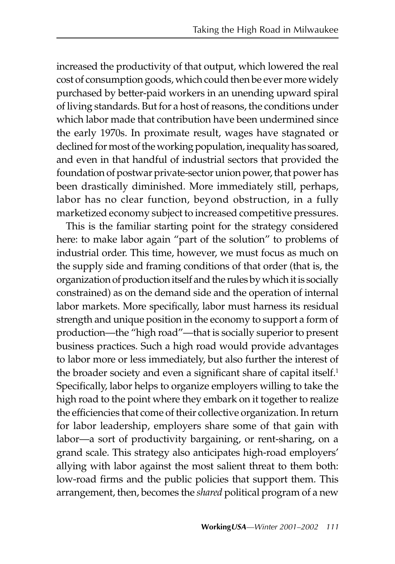increased the productivity of that output, which lowered the real cost of consumption goods, which could then be ever more widely purchased by better-paid workers in an unending upward spiral of living standards. But for a host of reasons, the conditions under which labor made that contribution have been undermined since the early 1970s. In proximate result, wages have stagnated or declined for most of the working population, inequality has soared, and even in that handful of industrial sectors that provided the foundation of postwar private-sector union power, that power has been drastically diminished. More immediately still, perhaps, labor has no clear function, beyond obstruction, in a fully marketized economy subject to increased competitive pressures.

This is the familiar starting point for the strategy considered here: to make labor again "part of the solution" to problems of industrial order. This time, however, we must focus as much on the supply side and framing conditions of that order (that is, the organization of production itself and the rules by which it is socially constrained) as on the demand side and the operation of internal labor markets. More specifically, labor must harness its residual strength and unique position in the economy to support a form of production—the "high road"—that is socially superior to present business practices. Such a high road would provide advantages to labor more or less immediately, but also further the interest of the broader society and even a significant share of capital itself.<sup>1</sup> Specifically, labor helps to organize employers willing to take the high road to the point where they embark on it together to realize the efficiencies that come of their collective organization. In return for labor leadership, employers share some of that gain with labor—a sort of productivity bargaining, or rent-sharing, on a grand scale. This strategy also anticipates high-road employers' allying with labor against the most salient threat to them both: low-road firms and the public policies that support them. This arrangement, then, becomes the *shared* political program of a new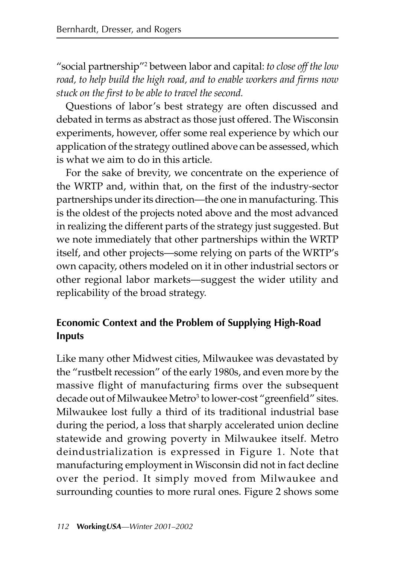"social partnership"2 between labor and capital: *to close off the low road, to help build the high road, and to enable workers and firms now stuck on the first to be able to travel the second.*

Questions of labor's best strategy are often discussed and debated in terms as abstract as those just offered. The Wisconsin experiments, however, offer some real experience by which our application of the strategy outlined above can be assessed, which is what we aim to do in this article.

For the sake of brevity, we concentrate on the experience of the WRTP and, within that, on the first of the industry-sector partnerships under its direction—the one in manufacturing. This is the oldest of the projects noted above and the most advanced in realizing the different parts of the strategy just suggested. But we note immediately that other partnerships within the WRTP itself, and other projects—some relying on parts of the WRTP's own capacity, others modeled on it in other industrial sectors or other regional labor markets—suggest the wider utility and replicability of the broad strategy.

## **Economic Context and the Problem of Supplying High-Road Inputs**

Like many other Midwest cities, Milwaukee was devastated by the "rustbelt recession" of the early 1980s, and even more by the massive flight of manufacturing firms over the subsequent decade out of Milwaukee Metro<sup>3</sup> to lower-cost "greenfield" sites. Milwaukee lost fully a third of its traditional industrial base during the period, a loss that sharply accelerated union decline statewide and growing poverty in Milwaukee itself. Metro deindustrialization is expressed in Figure 1. Note that manufacturing employment in Wisconsin did not in fact decline over the period. It simply moved from Milwaukee and surrounding counties to more rural ones. Figure 2 shows some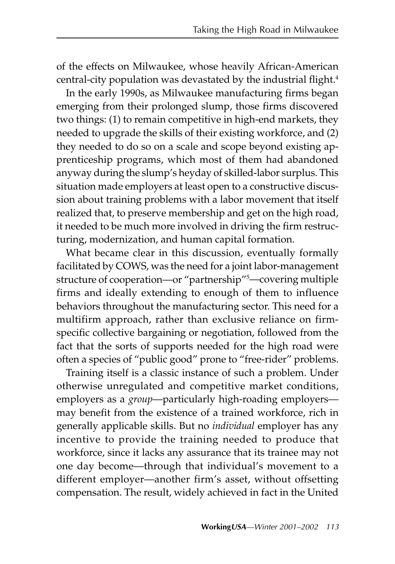of the effects on Milwaukee, whose heavily African-American central-city population was devastated by the industrial flight.<sup>4</sup>

In the early 1990s, as Milwaukee manufacturing firms began emerging from their prolonged slump, those firms discovered two things: (1) to remain competitive in high-end markets, they needed to upgrade the skills of their existing workforce, and (2) they needed to do so on a scale and scope beyond existing apprenticeship programs, which most of them had abandoned anyway during the slump's heyday of skilled-labor surplus. This situation made employers at least open to a constructive discussion about training problems with a labor movement that itself realized that, to preserve membership and get on the high road, it needed to be much more involved in driving the firm restructuring, modernization, and human capital formation.

What became clear in this discussion, eventually formally facilitated by COWS, was the need for a joint labor-management structure of cooperation—or "partnership"5 —covering multiple firms and ideally extending to enough of them to influence behaviors throughout the manufacturing sector. This need for a multifirm approach, rather than exclusive reliance on firmspecific collective bargaining or negotiation, followed from the fact that the sorts of supports needed for the high road were often a species of "public good" prone to "free-rider" problems.

Training itself is a classic instance of such a problem. Under otherwise unregulated and competitive market conditions, employers as a *group*—particularly high-roading employers may benefit from the existence of a trained workforce, rich in generally applicable skills. But no *individual* employer has any incentive to provide the training needed to produce that workforce, since it lacks any assurance that its trainee may not one day become—through that individual's movement to a different employer—another firm's asset, without offsetting compensation. The result, widely achieved in fact in the United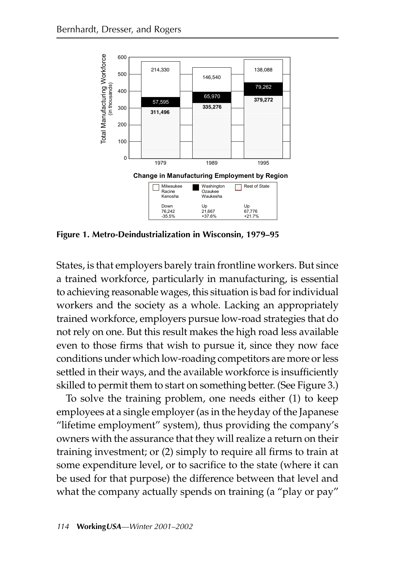

**Figure 1. Metro-Deindustrialization in Wisconsin, 1979–95**

States, is that employers barely train frontline workers. But since a trained workforce, particularly in manufacturing, is essential to achieving reasonable wages, this situation is bad for individual workers and the society as a whole. Lacking an appropriately trained workforce, employers pursue low-road strategies that do not rely on one. But this result makes the high road less available even to those firms that wish to pursue it, since they now face conditions under which low-roading competitors are more or less settled in their ways, and the available workforce is insufficiently skilled to permit them to start on something better. (See Figure 3.)

To solve the training problem, one needs either (1) to keep employees at a single employer (as in the heyday of the Japanese "lifetime employment" system), thus providing the company's owners with the assurance that they will realize a return on their training investment; or (2) simply to require all firms to train at some expenditure level, or to sacrifice to the state (where it can be used for that purpose) the difference between that level and what the company actually spends on training (a "play or pay"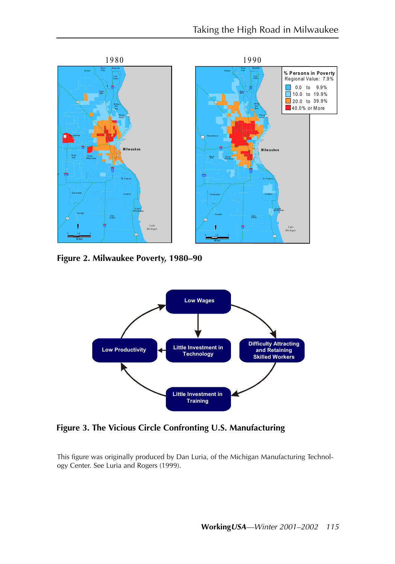

**Figure 2. Milwaukee Poverty, 1980–90**



**Figure 3. The Vicious Circle Confronting U.S. Manufacturing**

This figure was originally produced by Dan Luria, of the Michigan Manufacturing Technology Center. See Luria and Rogers (1999).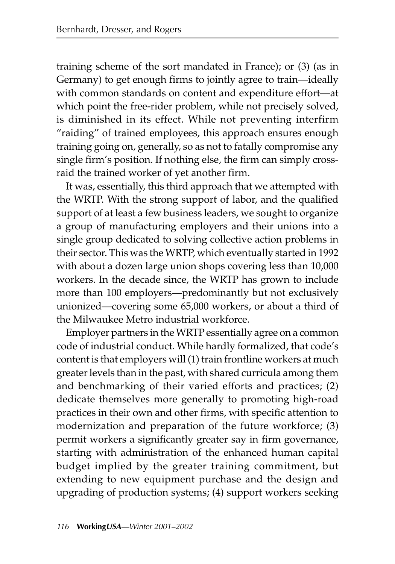training scheme of the sort mandated in France); or (3) (as in Germany) to get enough firms to jointly agree to train—ideally with common standards on content and expenditure effort—at which point the free-rider problem, while not precisely solved, is diminished in its effect. While not preventing interfirm "raiding" of trained employees, this approach ensures enough training going on, generally, so as not to fatally compromise any single firm's position. If nothing else, the firm can simply crossraid the trained worker of yet another firm.

It was, essentially, this third approach that we attempted with the WRTP. With the strong support of labor, and the qualified support of at least a few business leaders, we sought to organize a group of manufacturing employers and their unions into a single group dedicated to solving collective action problems in their sector. This was the WRTP, which eventually started in 1992 with about a dozen large union shops covering less than 10,000 workers. In the decade since, the WRTP has grown to include more than 100 employers—predominantly but not exclusively unionized—covering some 65,000 workers, or about a third of the Milwaukee Metro industrial workforce.

Employer partners in the WRTP essentially agree on a common code of industrial conduct. While hardly formalized, that code's content is that employers will (1) train frontline workers at much greater levels than in the past, with shared curricula among them and benchmarking of their varied efforts and practices; (2) dedicate themselves more generally to promoting high-road practices in their own and other firms, with specific attention to modernization and preparation of the future workforce; (3) permit workers a significantly greater say in firm governance, starting with administration of the enhanced human capital budget implied by the greater training commitment, but extending to new equipment purchase and the design and upgrading of production systems; (4) support workers seeking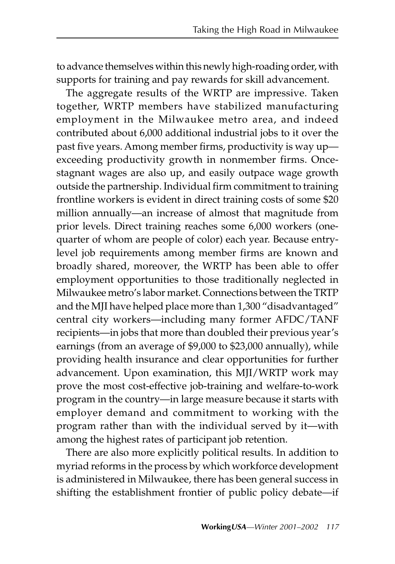to advance themselves within this newly high-roading order, with supports for training and pay rewards for skill advancement.

The aggregate results of the WRTP are impressive. Taken together, WRTP members have stabilized manufacturing employment in the Milwaukee metro area, and indeed contributed about 6,000 additional industrial jobs to it over the past five years. Among member firms, productivity is way up exceeding productivity growth in nonmember firms. Oncestagnant wages are also up, and easily outpace wage growth outside the partnership. Individual firm commitment to training frontline workers is evident in direct training costs of some \$20 million annually—an increase of almost that magnitude from prior levels. Direct training reaches some 6,000 workers (onequarter of whom are people of color) each year. Because entrylevel job requirements among member firms are known and broadly shared, moreover, the WRTP has been able to offer employment opportunities to those traditionally neglected in Milwaukee metro's labor market. Connections between the TRTP and the MJI have helped place more than 1,300 "disadvantaged" central city workers—including many former AFDC/TANF recipients—in jobs that more than doubled their previous year's earnings (from an average of \$9,000 to \$23,000 annually), while providing health insurance and clear opportunities for further advancement. Upon examination, this MJI/WRTP work may prove the most cost-effective job-training and welfare-to-work program in the country—in large measure because it starts with employer demand and commitment to working with the program rather than with the individual served by it—with among the highest rates of participant job retention.

There are also more explicitly political results. In addition to myriad reforms in the process by which workforce development is administered in Milwaukee, there has been general success in shifting the establishment frontier of public policy debate—if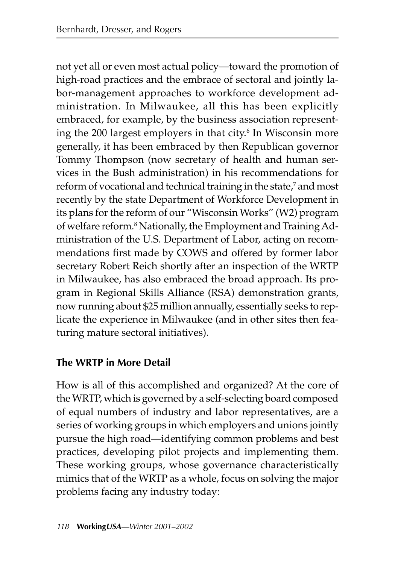not yet all or even most actual policy—toward the promotion of high-road practices and the embrace of sectoral and jointly labor-management approaches to workforce development administration. In Milwaukee, all this has been explicitly embraced, for example, by the business association representing the 200 largest employers in that city.<sup>6</sup> In Wisconsin more generally, it has been embraced by then Republican governor Tommy Thompson (now secretary of health and human services in the Bush administration) in his recommendations for reform of vocational and technical training in the state,<sup>7</sup> and most recently by the state Department of Workforce Development in its plans for the reform of our "Wisconsin Works" (W2) program of welfare reform.8 Nationally, the Employment and Training Administration of the U.S. Department of Labor, acting on recommendations first made by COWS and offered by former labor secretary Robert Reich shortly after an inspection of the WRTP in Milwaukee, has also embraced the broad approach. Its program in Regional Skills Alliance (RSA) demonstration grants, now running about \$25 million annually, essentially seeks to replicate the experience in Milwaukee (and in other sites then featuring mature sectoral initiatives).

### **The WRTP in More Detail**

How is all of this accomplished and organized? At the core of the WRTP, which is governed by a self-selecting board composed of equal numbers of industry and labor representatives, are a series of working groups in which employers and unions jointly pursue the high road—identifying common problems and best practices, developing pilot projects and implementing them. These working groups, whose governance characteristically mimics that of the WRTP as a whole, focus on solving the major problems facing any industry today: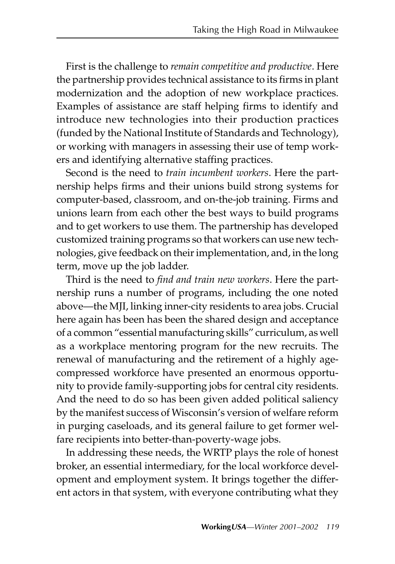First is the challenge to *remain competitive and productive*. Here the partnership provides technical assistance to its firms in plant modernization and the adoption of new workplace practices. Examples of assistance are staff helping firms to identify and introduce new technologies into their production practices (funded by the National Institute of Standards and Technology), or working with managers in assessing their use of temp workers and identifying alternative staffing practices.

Second is the need to *train incumbent workers*. Here the partnership helps firms and their unions build strong systems for computer-based, classroom, and on-the-job training. Firms and unions learn from each other the best ways to build programs and to get workers to use them. The partnership has developed customized training programs so that workers can use new technologies, give feedback on their implementation, and, in the long term, move up the job ladder.

Third is the need to *find and train new workers*. Here the partnership runs a number of programs, including the one noted above—the MJI, linking inner-city residents to area jobs. Crucial here again has been has been the shared design and acceptance of a common "essential manufacturing skills" curriculum, as well as a workplace mentoring program for the new recruits. The renewal of manufacturing and the retirement of a highly agecompressed workforce have presented an enormous opportunity to provide family-supporting jobs for central city residents. And the need to do so has been given added political saliency by the manifest success of Wisconsin's version of welfare reform in purging caseloads, and its general failure to get former welfare recipients into better-than-poverty-wage jobs.

In addressing these needs, the WRTP plays the role of honest broker, an essential intermediary, for the local workforce development and employment system. It brings together the different actors in that system, with everyone contributing what they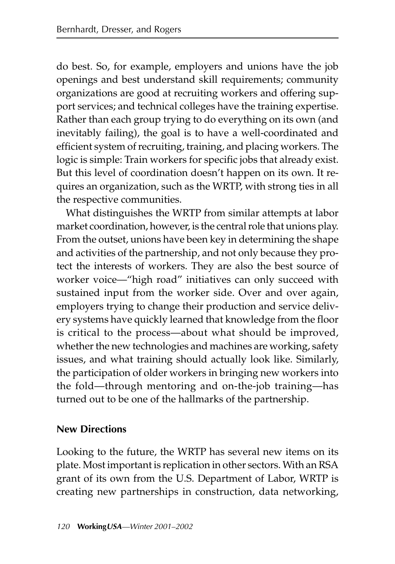do best. So, for example, employers and unions have the job openings and best understand skill requirements; community organizations are good at recruiting workers and offering support services; and technical colleges have the training expertise. Rather than each group trying to do everything on its own (and inevitably failing), the goal is to have a well-coordinated and efficient system of recruiting, training, and placing workers. The logic is simple: Train workers for specific jobs that already exist. But this level of coordination doesn't happen on its own. It requires an organization, such as the WRTP, with strong ties in all the respective communities.

What distinguishes the WRTP from similar attempts at labor market coordination, however, is the central role that unions play. From the outset, unions have been key in determining the shape and activities of the partnership, and not only because they protect the interests of workers. They are also the best source of worker voice—"high road" initiatives can only succeed with sustained input from the worker side. Over and over again, employers trying to change their production and service delivery systems have quickly learned that knowledge from the floor is critical to the process—about what should be improved, whether the new technologies and machines are working, safety issues, and what training should actually look like. Similarly, the participation of older workers in bringing new workers into the fold—through mentoring and on-the-job training—has turned out to be one of the hallmarks of the partnership.

### **New Directions**

Looking to the future, the WRTP has several new items on its plate. Most important is replication in other sectors. With an RSA grant of its own from the U.S. Department of Labor, WRTP is creating new partnerships in construction, data networking,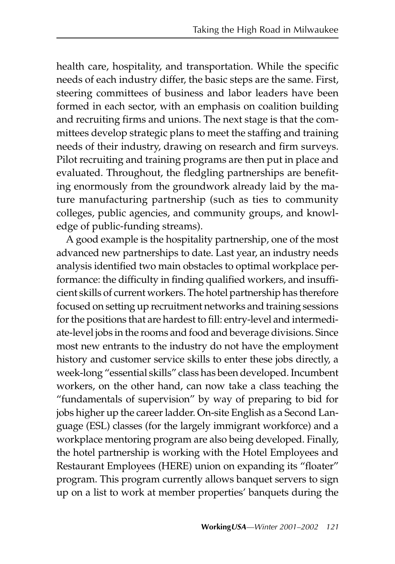health care, hospitality, and transportation. While the specific needs of each industry differ, the basic steps are the same. First, steering committees of business and labor leaders have been formed in each sector, with an emphasis on coalition building and recruiting firms and unions. The next stage is that the committees develop strategic plans to meet the staffing and training needs of their industry, drawing on research and firm surveys. Pilot recruiting and training programs are then put in place and evaluated. Throughout, the fledgling partnerships are benefiting enormously from the groundwork already laid by the mature manufacturing partnership (such as ties to community colleges, public agencies, and community groups, and knowledge of public-funding streams).

A good example is the hospitality partnership, one of the most advanced new partnerships to date. Last year, an industry needs analysis identified two main obstacles to optimal workplace performance: the difficulty in finding qualified workers, and insufficient skills of current workers. The hotel partnership has therefore focused on setting up recruitment networks and training sessions for the positions that are hardest to fill: entry-level and intermediate-level jobs in the rooms and food and beverage divisions. Since most new entrants to the industry do not have the employment history and customer service skills to enter these jobs directly, a week-long "essential skills" class has been developed. Incumbent workers, on the other hand, can now take a class teaching the "fundamentals of supervision" by way of preparing to bid for jobs higher up the career ladder. On-site English as a Second Language (ESL) classes (for the largely immigrant workforce) and a workplace mentoring program are also being developed. Finally, the hotel partnership is working with the Hotel Employees and Restaurant Employees (HERE) union on expanding its "floater" program. This program currently allows banquet servers to sign up on a list to work at member properties' banquets during the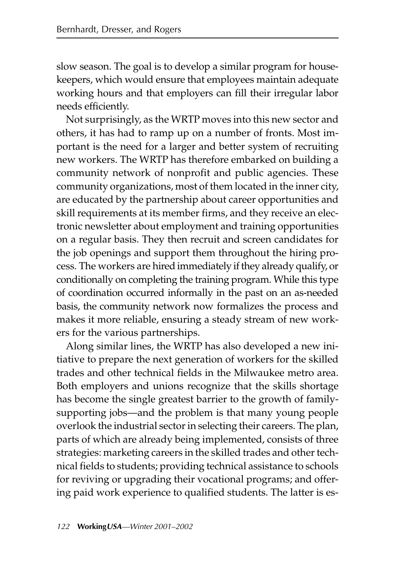slow season. The goal is to develop a similar program for housekeepers, which would ensure that employees maintain adequate working hours and that employers can fill their irregular labor needs efficiently.

Not surprisingly, as the WRTP moves into this new sector and others, it has had to ramp up on a number of fronts. Most important is the need for a larger and better system of recruiting new workers. The WRTP has therefore embarked on building a community network of nonprofit and public agencies. These community organizations, most of them located in the inner city, are educated by the partnership about career opportunities and skill requirements at its member firms, and they receive an electronic newsletter about employment and training opportunities on a regular basis. They then recruit and screen candidates for the job openings and support them throughout the hiring process. The workers are hired immediately if they already qualify, or conditionally on completing the training program. While this type of coordination occurred informally in the past on an as-needed basis, the community network now formalizes the process and makes it more reliable, ensuring a steady stream of new workers for the various partnerships.

Along similar lines, the WRTP has also developed a new initiative to prepare the next generation of workers for the skilled trades and other technical fields in the Milwaukee metro area. Both employers and unions recognize that the skills shortage has become the single greatest barrier to the growth of familysupporting jobs—and the problem is that many young people overlook the industrial sector in selecting their careers. The plan, parts of which are already being implemented, consists of three strategies: marketing careers in the skilled trades and other technical fields to students; providing technical assistance to schools for reviving or upgrading their vocational programs; and offering paid work experience to qualified students. The latter is es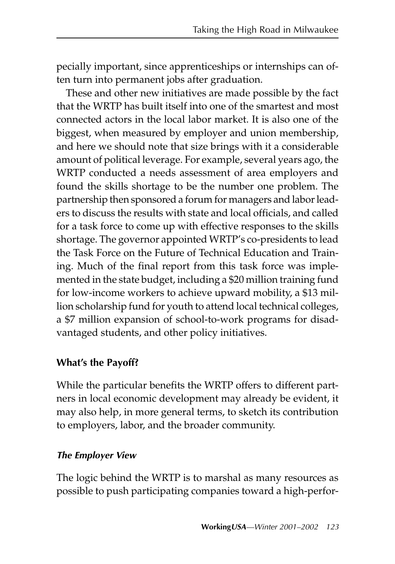pecially important, since apprenticeships or internships can often turn into permanent jobs after graduation.

These and other new initiatives are made possible by the fact that the WRTP has built itself into one of the smartest and most connected actors in the local labor market. It is also one of the biggest, when measured by employer and union membership, and here we should note that size brings with it a considerable amount of political leverage. For example, several years ago, the WRTP conducted a needs assessment of area employers and found the skills shortage to be the number one problem. The partnership then sponsored a forum for managers and labor leaders to discuss the results with state and local officials, and called for a task force to come up with effective responses to the skills shortage. The governor appointed WRTP's co-presidents to lead the Task Force on the Future of Technical Education and Training. Much of the final report from this task force was implemented in the state budget, including a \$20 million training fund for low-income workers to achieve upward mobility, a \$13 million scholarship fund for youth to attend local technical colleges, a \$7 million expansion of school-to-work programs for disadvantaged students, and other policy initiatives.

#### **What's the Payoff?**

While the particular benefits the WRTP offers to different partners in local economic development may already be evident, it may also help, in more general terms, to sketch its contribution to employers, labor, and the broader community.

#### **The Employer View**

The logic behind the WRTP is to marshal as many resources as possible to push participating companies toward a high-perfor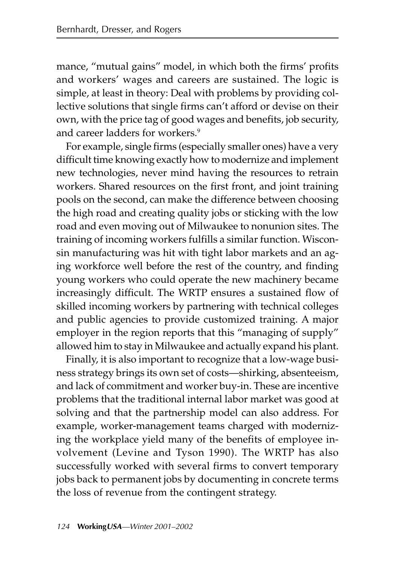mance, "mutual gains" model, in which both the firms' profits and workers' wages and careers are sustained. The logic is simple, at least in theory: Deal with problems by providing collective solutions that single firms can't afford or devise on their own, with the price tag of good wages and benefits, job security, and career ladders for workers.<sup>9</sup>

For example, single firms (especially smaller ones) have a very difficult time knowing exactly how to modernize and implement new technologies, never mind having the resources to retrain workers. Shared resources on the first front, and joint training pools on the second, can make the difference between choosing the high road and creating quality jobs or sticking with the low road and even moving out of Milwaukee to nonunion sites. The training of incoming workers fulfills a similar function. Wisconsin manufacturing was hit with tight labor markets and an aging workforce well before the rest of the country, and finding young workers who could operate the new machinery became increasingly difficult. The WRTP ensures a sustained flow of skilled incoming workers by partnering with technical colleges and public agencies to provide customized training. A major employer in the region reports that this "managing of supply" allowed him to stay in Milwaukee and actually expand his plant.

Finally, it is also important to recognize that a low-wage business strategy brings its own set of costs—shirking, absenteeism, and lack of commitment and worker buy-in. These are incentive problems that the traditional internal labor market was good at solving and that the partnership model can also address. For example, worker-management teams charged with modernizing the workplace yield many of the benefits of employee involvement (Levine and Tyson 1990). The WRTP has also successfully worked with several firms to convert temporary jobs back to permanent jobs by documenting in concrete terms the loss of revenue from the contingent strategy.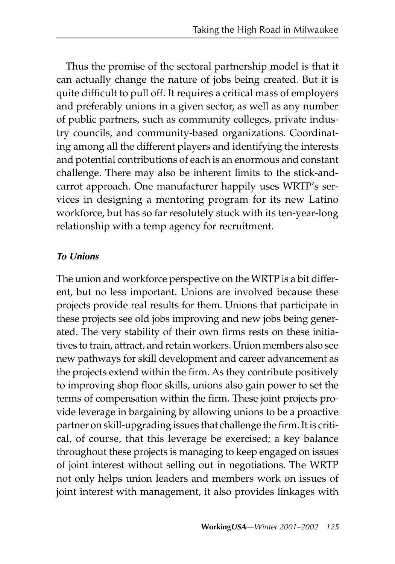Thus the promise of the sectoral partnership model is that it can actually change the nature of jobs being created. But it is quite difficult to pull off. It requires a critical mass of employers and preferably unions in a given sector, as well as any number of public partners, such as community colleges, private industry councils, and community-based organizations. Coordinating among all the different players and identifying the interests and potential contributions of each is an enormous and constant challenge. There may also be inherent limits to the stick-andcarrot approach. One manufacturer happily uses WRTP's services in designing a mentoring program for its new Latino workforce, but has so far resolutely stuck with its ten-year-long relationship with a temp agency for recruitment.

#### **To Unions**

The union and workforce perspective on the WRTP is a bit different, but no less important. Unions are involved because these projects provide real results for them. Unions that participate in these projects see old jobs improving and new jobs being generated. The very stability of their own firms rests on these initiatives to train, attract, and retain workers. Union members also see new pathways for skill development and career advancement as the projects extend within the firm. As they contribute positively to improving shop floor skills, unions also gain power to set the terms of compensation within the firm. These joint projects provide leverage in bargaining by allowing unions to be a proactive partner on skill-upgrading issues that challenge the firm. It is critical, of course, that this leverage be exercised; a key balance throughout these projects is managing to keep engaged on issues of joint interest without selling out in negotiations. The WRTP not only helps union leaders and members work on issues of joint interest with management, it also provides linkages with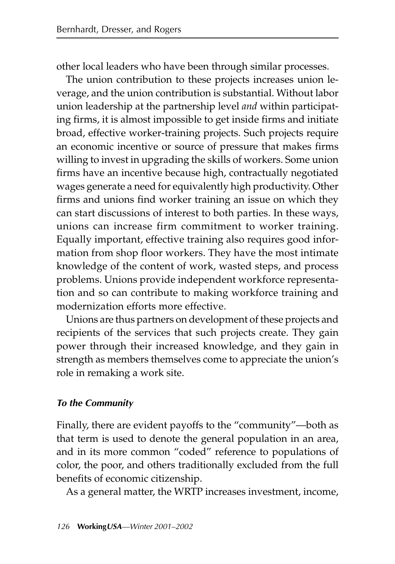other local leaders who have been through similar processes.

The union contribution to these projects increases union leverage, and the union contribution is substantial. Without labor union leadership at the partnership level *and* within participating firms, it is almost impossible to get inside firms and initiate broad, effective worker-training projects. Such projects require an economic incentive or source of pressure that makes firms willing to invest in upgrading the skills of workers. Some union firms have an incentive because high, contractually negotiated wages generate a need for equivalently high productivity. Other firms and unions find worker training an issue on which they can start discussions of interest to both parties. In these ways, unions can increase firm commitment to worker training. Equally important, effective training also requires good information from shop floor workers. They have the most intimate knowledge of the content of work, wasted steps, and process problems. Unions provide independent workforce representation and so can contribute to making workforce training and modernization efforts more effective.

Unions are thus partners on development of these projects and recipients of the services that such projects create. They gain power through their increased knowledge, and they gain in strength as members themselves come to appreciate the union's role in remaking a work site.

### **To the Community**

Finally, there are evident payoffs to the "community"—both as that term is used to denote the general population in an area, and in its more common "coded" reference to populations of color, the poor, and others traditionally excluded from the full benefits of economic citizenship.

As a general matter, the WRTP increases investment, income,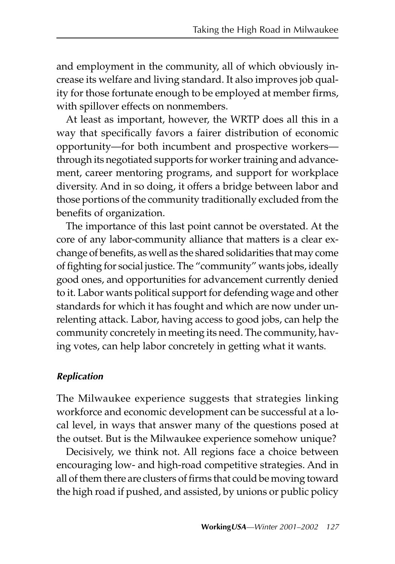and employment in the community, all of which obviously increase its welfare and living standard. It also improves job quality for those fortunate enough to be employed at member firms, with spillover effects on nonmembers.

At least as important, however, the WRTP does all this in a way that specifically favors a fairer distribution of economic opportunity—for both incumbent and prospective workers through its negotiated supports for worker training and advancement, career mentoring programs, and support for workplace diversity. And in so doing, it offers a bridge between labor and those portions of the community traditionally excluded from the benefits of organization.

The importance of this last point cannot be overstated. At the core of any labor-community alliance that matters is a clear exchange of benefits, as well as the shared solidarities that may come of fighting for social justice. The "community" wants jobs, ideally good ones, and opportunities for advancement currently denied to it. Labor wants political support for defending wage and other standards for which it has fought and which are now under unrelenting attack. Labor, having access to good jobs, can help the community concretely in meeting its need. The community, having votes, can help labor concretely in getting what it wants.

### **Replication**

The Milwaukee experience suggests that strategies linking workforce and economic development can be successful at a local level, in ways that answer many of the questions posed at the outset. But is the Milwaukee experience somehow unique?

Decisively, we think not. All regions face a choice between encouraging low- and high-road competitive strategies. And in all of them there are clusters of firms that could be moving toward the high road if pushed, and assisted, by unions or public policy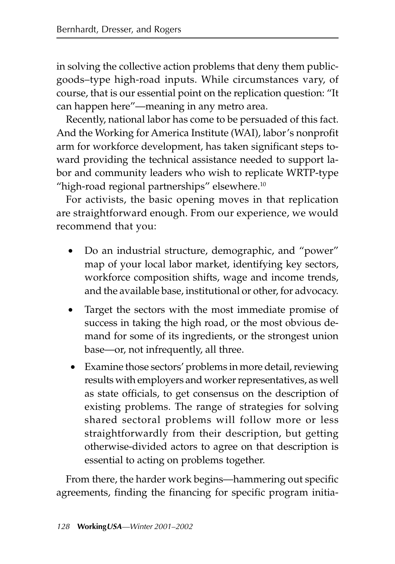in solving the collective action problems that deny them publicgoods–type high-road inputs. While circumstances vary, of course, that is our essential point on the replication question: "It can happen here"—meaning in any metro area.

Recently, national labor has come to be persuaded of this fact. And the Working for America Institute (WAI), labor's nonprofit arm for workforce development, has taken significant steps toward providing the technical assistance needed to support labor and community leaders who wish to replicate WRTP-type "high-road regional partnerships" elsewhere.<sup>10</sup>

For activists, the basic opening moves in that replication are straightforward enough. From our experience, we would recommend that you:

- Do an industrial structure, demographic, and "power" map of your local labor market, identifying key sectors, workforce composition shifts, wage and income trends, and the available base, institutional or other, for advocacy.
- Target the sectors with the most immediate promise of success in taking the high road, or the most obvious demand for some of its ingredients, or the strongest union base—or, not infrequently, all three.
- Examine those sectors' problems in more detail, reviewing results with employers and worker representatives, as well as state officials, to get consensus on the description of existing problems. The range of strategies for solving shared sectoral problems will follow more or less straightforwardly from their description, but getting otherwise-divided actors to agree on that description is essential to acting on problems together.

From there, the harder work begins—hammering out specific agreements, finding the financing for specific program initia-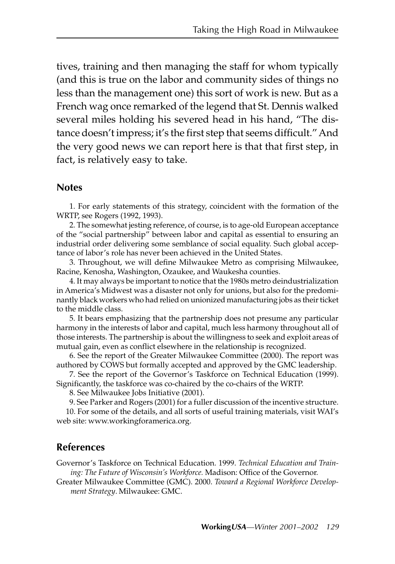tives, training and then managing the staff for whom typically (and this is true on the labor and community sides of things no less than the management one) this sort of work is new. But as a French wag once remarked of the legend that St. Dennis walked several miles holding his severed head in his hand, "The distance doesn't impress; it's the first step that seems difficult." And the very good news we can report here is that that first step, in fact, is relatively easy to take.

#### **Notes**

1. For early statements of this strategy, coincident with the formation of the WRTP, see Rogers (1992, 1993).

2. The somewhat jesting reference, of course, is to age-old European acceptance of the "social partnership" between labor and capital as essential to ensuring an industrial order delivering some semblance of social equality. Such global acceptance of labor's role has never been achieved in the United States.

3. Throughout, we will define Milwaukee Metro as comprising Milwaukee, Racine, Kenosha, Washington, Ozaukee, and Waukesha counties.

4. It may always be important to notice that the 1980s metro deindustrialization in America's Midwest was a disaster not only for unions, but also for the predominantly black workers who had relied on unionized manufacturing jobs as their ticket to the middle class.

5. It bears emphasizing that the partnership does not presume any particular harmony in the interests of labor and capital, much less harmony throughout all of those interests. The partnership is about the willingness to seek and exploit areas of mutual gain, even as conflict elsewhere in the relationship is recognized.

6. See the report of the Greater Milwaukee Committee (2000). The report was authored by COWS but formally accepted and approved by the GMC leadership.

7. See the report of the Governor's Taskforce on Technical Education (1999). Significantly, the taskforce was co-chaired by the co-chairs of the WRTP.

8. See Milwaukee Jobs Initiative (2001).

9. See Parker and Rogers (2001) for a fuller discussion of the incentive structure.

10. For some of the details, and all sorts of useful training materials, visit WAI's web site: www.workingforamerica.org.

#### **References**

Governor's Taskforce on Technical Education. 1999. *Technical Education and Training: The Future of Wisconsin's Workforce.* Madison: Office of the Governor.

Greater Milwaukee Committee (GMC). 2000. *Toward a Regional Workforce Development Strategy*. Milwaukee: GMC.